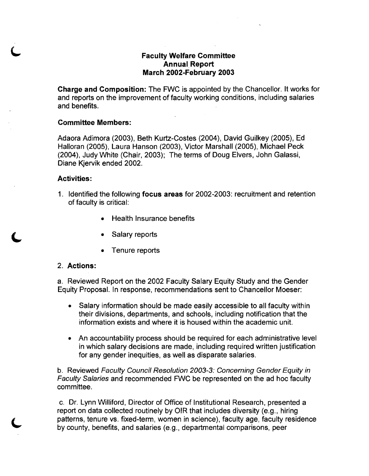## **Faculty Welfare Committee Annual Report March 2002-February 2003**

**Charge and Composition:** The FWC is appointed by the Chancellor. It works for and reports on the improvement of faculty working conditions, including salaries and benefits.

## **Committee Members:**

Adaora Adimora (2003), Beth Kurtz-Costes (2004), David Guilkey (2005), Ed Halloran (2005), Laura Hanson (2003), Victor Marshall (2005), Michael Peck (2004), Judy White (Chair, 2003); The terms of Doug Elvers, John Galassi, Diane Kjervik ended 2002.

## **Activities:**

- 1. Identified the following **focus areas** for 2002-2003: recruitment and retention of faculty is critical:
	- **Health Insurance benefits**
	- Salary reports
	- Tenure reports

## 2. **Actions:**

a. Reviewed Report on the 2002 Faculty Salary Equity Study and the Gender Equity Proposal. In response, recommendations sent to Chancellor Moeser:

- Salary information should be made easily accessible to all faculty within their divisions, departments, and schools, including notification that the information exists and where it is housed within the academic unit.
- An accountability process should be required for each administrative level in which salary decisions are made, including required written justification for any gender inequities, as well as disparate salaries.

b. Reviewed Faculty Council Resolution 2003-3: Concerning Gender Equity in Faculty Salaries and recommended FWC be represented on the ad hoc faculty committee.

c. Dr. Lynn Williford, Director of Office of Institutional Research, presented a report on data collected routinely by OIR that includes diversity (e.g., hiring patterns, tenure vs. fixed-term, women in science), faculty age, faculty residence by county, benefits, and salaries (e.g., departmental comparisons, peer